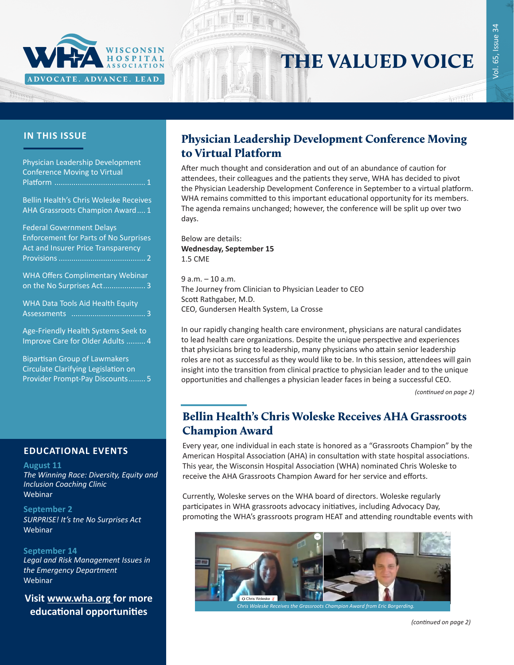

# THE VALUED VOICE

### **IN THIS ISSUE**

| Physician Leadership Development<br><b>Conference Moving to Virtual</b>                                                |
|------------------------------------------------------------------------------------------------------------------------|
| <b>Bellin Health's Chris Woleske Receives</b><br>AHA Grassroots Champion Award 1                                       |
| <b>Federal Government Delays</b><br><b>Enforcement for Parts of No Surprises</b><br>Act and Insurer Price Transparency |
| <b>WHA Offers Complimentary Webinar</b><br>on the No Surprises Act 3                                                   |
| WHA Data Tools Aid Health Equity                                                                                       |
| Age-Friendly Health Systems Seek to<br>Improve Care for Older Adults  4                                                |
| <b>Bipartisan Group of Lawmakers</b><br>Circulate Clarifying Legislation on                                            |

### **EDUCATIONAL EVENTS EDUCATIONAL EVENTS**

[Provider Prompt-Pay Discounts........](#page-4-0) 5

#### **August 11**

**The Winning Race: Diversity, Equity and** *[The Winning Race: Diversity, Equity and](https://mailchi.mp/a58bd04a04d8/summer-dei-education-series-for-healthcare-leaders-and-trustees-2486844)  Inclusion Coaching Clinic [Inclusion Coaching Clinic](https://mailchi.mp/a58bd04a04d8/summer-dei-education-series-for-healthcare-leaders-and-trustees-2486844)* Webinar

### *[Part 5: Diversity Pipeline Development](https://mailchi.mp/a58bd04a04d8/summer-dei-education-series-for-healthcare-leaders-and-trustees-2486844)* **September 2**

Webinar *[SURPRISE! It's tne No Surprises Act](https://www.wha.org/AboutWHA/CalendarofEvents/Webinar-Online-Education/No-surprises)* Webinar

### **[Septem](https://www.wha.org/AboutWHA/CalendarofEvents/Webinar-Online-Education/No-surprises)ber 14**

*[the Emergency Department](https://gha.zoom.us/webinar/register/WN_LAtbCy_wQyu-2AINfP4zrw) [Legal and Risk Management Issues](https://gha.zoom.us/webinar/register/WN_LAtbCy_wQyu-2AINfP4zrw)  [Legal and Risk Management Issues in](https://gha.zoom.us/webinar/register/WN_LAtbCy_wQyu-2AINfP4zrw)*  **Webinar** 

*[in the Emergency Department](https://gha.zoom.us/webinar/register/WN_LAtbCy_wQyu-2AINfP4zrw)* **Visit [www.wha.org](https://www.wha.org) for more**  educational opportunities

### Physician Leadership Development Conference Moving to Virtual Platform

After much thought and consideration and out of an abundance of caution for attendees, their colleagues and the patients they serve, WHA has decided to pivot the Physician Leadership Development Conference in September to a virtual platform. WHA remains committed to this important educational opportunity for its members. The agenda remains unchanged; however, the conference will be split up over two days.

Below are details: **Wednesday, September 15**  1.5 CME

9 a.m. – 10 a.m. The Journey from Clinician to Physician Leader to CEO Scott Rathgaber, M.D. CEO, Gundersen Health System, La Crosse

In our rapidly changing health care environment, physicians are natural candidates to lead health care organizations. Despite the unique perspective and experiences that physicians bring to leadership, many physicians who attain senior leadership roles are not as successful as they would like to be. In this session, attendees will gain insight into the transition from clinical practice to physician leader and to the unique opportunities and challenges a physician leader faces in being a successful CEO.

*(continued on page 2)*

### Bellin Health's Chris Woleske Receives AHA Grassroots Champion Award

Every year, one individual in each state is honored as a "Grassroots Champion" by the American Hospital Association (AHA) in consultation with state hospital associations. This year, the Wisconsin Hospital Association (WHA) nominated Chris Woleske to receive the AHA Grassroots Champion Award for her service and efforts.

Currently, Woleske serves on the WHA board of directors. Woleske regularly participates in WHA grassroots advocacy initiatives, including Advocacy Day, promoting the WHA's grassroots program HEAT and attending roundtable events with



*(continued on page 2)*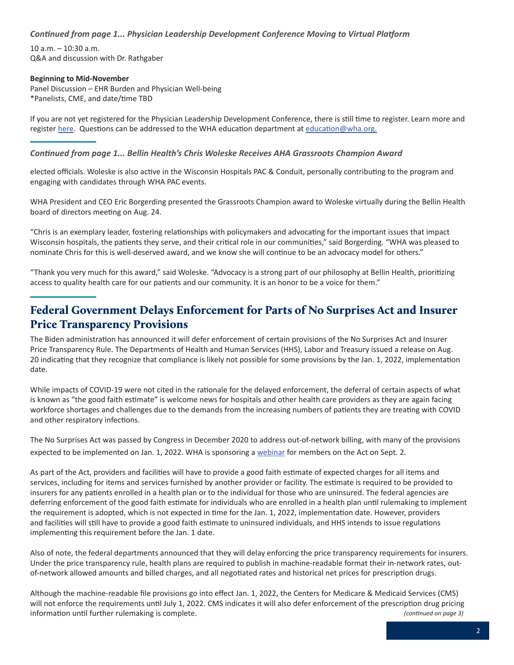<span id="page-1-0"></span>*Continued from page 1... Physician Leadership Development Conference Moving to Virtual Platform* 

10 a.m. – 10:30 a.m. Q&A and discussion with Dr. Rathgaber

#### **Beginning to Mid-November**

Panel Discussion – EHR Burden and Physician Well-being \*Panelists, CME, and date/time TBD

If you are not yet registered for the Physician Leadership Development Conference, there is still time to register. Learn more and register [here](https://www.wha.org/PLDC-2021). Questions can be addressed to the WHA education department at [education@wha.org](mailto:education%40wha.org?subject=).

#### *Continued from page 1... Bellin Health's Chris Woleske Receives AHA Grassroots Champion Award*

elected officials. Woleske is also active in the Wisconsin Hospitals PAC & Conduit, personally contributing to the program and engaging with candidates through WHA PAC events.

WHA President and CEO Eric Borgerding presented the Grassroots Champion award to Woleske virtually during the Bellin Health board of directors meeting on Aug. 24.

"Chris is an exemplary leader, fostering relationships with policymakers and advocating for the important issues that impact Wisconsin hospitals, the patients they serve, and their critical role in our communities," said Borgerding. "WHA was pleased to nominate Chris for this is well-deserved award, and we know she will continue to be an advocacy model for others."

"Thank you very much for this award," said Woleske. "Advocacy is a strong part of our philosophy at Bellin Health, prioritizing access to quality health care for our patients and our community. It is an honor to be a voice for them."

### Federal Government Delays Enforcement for Parts of No Surprises Act and Insurer Price Transparency Provisions

The Biden administration has announced it will defer enforcement of certain provisions of the No Surprises Act and Insurer Price Transparency Rule. The Departments of Health and Human Services (HHS), Labor and Treasury issued a release on Aug. 20 indicating that they recognize that compliance is likely not possible for some provisions by the Jan. 1, 2022, implementation date.

While impacts of COVID-19 were not cited in the rationale for the delayed enforcement, the deferral of certain aspects of what is known as "the good faith estimate" is welcome news for hospitals and other health care providers as they are again facing workforce shortages and challenges due to the demands from the increasing numbers of patients they are treating with COVID and other respiratory infections.

The No Surprises Act was passed by Congress in December 2020 to address out-of-network billing, with many of the provisions expected to be implemented on Jan. 1, 2022. WHA is sponsoring a [webinar](https://www.wha.org/SupriseWebinar9-2-21) for members on the Act on Sept. 2.

As part of the Act, providers and facilities will have to provide a good faith estimate of expected charges for all items and services, including for items and services furnished by another provider or facility. The estimate is required to be provided to insurers for any patients enrolled in a health plan or to the individual for those who are uninsured. The federal agencies are deferring enforcement of the good faith estimate for individuals who are enrolled in a health plan until rulemaking to implement the requirement is adopted, which is not expected in time for the Jan. 1, 2022, implementation date. However, providers and facilities will still have to provide a good faith estimate to uninsured individuals, and HHS intends to issue regulations implementing this requirement before the Jan. 1 date.

Also of note, the federal departments announced that they will delay enforcing the price transparency requirements for insurers. Under the price transparency rule, health plans are required to publish in machine-readable format their in-network rates, outof-network allowed amounts and billed charges, and all negotiated rates and historical net prices for prescription drugs.

*(continued on page 3)* Although the machine-readable file provisions go into effect Jan. 1, 2022, the Centers for Medicare & Medicaid Services (CMS) will not enforce the requirements until July 1, 2022. CMS indicates it will also defer enforcement of the prescription drug pricing information until further rulemaking is complete.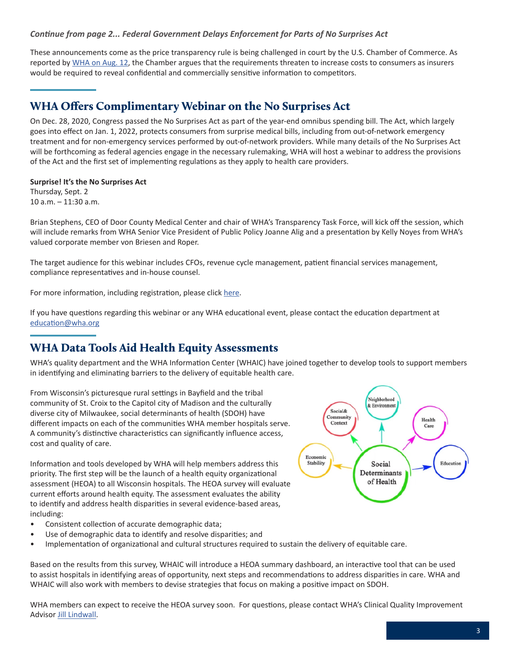#### <span id="page-2-0"></span>*Continue from page 2... Federal Government Delays Enforcement for Parts of No Surprises Act*

These announcements come as the price transparency rule is being challenged in court by the U.S. Chamber of Commerce. As reported by [WHA on Aug. 12,](https://www.wha.org/MediaRoom/WHANewsletter/2021/08-12-2021/U-S-Chamber-of-Commerce-Files-Suit-Against-HHS-Pri) the Chamber argues that the requirements threaten to increase costs to consumers as insurers would be required to reveal confidential and commercially sensitive information to competitors.

### WHA Offers Complimentary Webinar on the No Surprises Act

On Dec. 28, 2020, Congress passed the No Surprises Act as part of the year-end omnibus spending bill. The Act, which largely goes into effect on Jan. 1, 2022, protects consumers from surprise medical bills, including from out-of-network emergency treatment and for non-emergency services performed by out-of-network providers. While many details of the No Surprises Act will be forthcoming as federal agencies engage in the necessary rulemaking, WHA will host a webinar to address the provisions of the Act and the first set of implementing regulations as they apply to health care providers.

#### **Surprise! It's the No Surprises Act**

Thursday, Sept. 2 10 a.m. – 11:30 a.m.

Brian Stephens, CEO of Door County Medical Center and chair of WHA's Transparency Task Force, will kick off the session, which will include remarks from WHA Senior Vice President of Public Policy Joanne Alig and a presentation by Kelly Noyes from WHA's valued corporate member von Briesen and Roper.

The target audience for this webinar includes CFOs, revenue cycle management, patient financial services management, compliance representatives and in-house counsel.

For more information, including registration, please click [here](https://www.wha.org/AboutWHA/CalendarofEvents/Webinar-Online-Education/No-surprises).

If you have questions regarding this webinar or any WHA educational event, please contact the education department at [education@wha.org](mailto:education%40wha.org?subject=)

### WHA Data Tools Aid Health Equity Assessments

WHA's quality department and the WHA Information Center (WHAIC) have joined together to develop tools to support members in identifying and eliminating barriers to the delivery of equitable health care.

From Wisconsin's picturesque rural settings in Bayfield and the tribal community of St. Croix to the Capitol city of Madison and the culturally diverse city of Milwaukee, social determinants of health (SDOH) have different impacts on each of the communities WHA member hospitals serve. A community's distinctive characteristics can significantly influence access, cost and quality of care.

Information and tools developed by WHA will help members address this priority. The first step will be the launch of a health equity organizational assessment (HEOA) to all Wisconsin hospitals. The HEOA survey will evaluate current efforts around health equity. The assessment evaluates the ability to identify and address health disparities in several evidence-based areas, including:

- Consistent collection of accurate demographic data;
- Use of demographic data to identify and resolve disparities; and
- Implementation of organizational and cultural structures required to sustain the delivery of equitable care.

Based on the results from this survey, WHAIC will introduce a HEOA summary dashboard, an interactive tool that can be used to assist hospitals in identifying areas of opportunity, next steps and recommendations to address disparities in care. WHA and WHAIC will also work with members to devise strategies that focus on making a positive impact on SDOH.

WHA members can expect to receive the HEOA survey soon. For questions, please contact WHA's Clinical Quality Improvement Advisor [Jill Lindwall.](mailto:jlindwall%40wha.org?subject=)

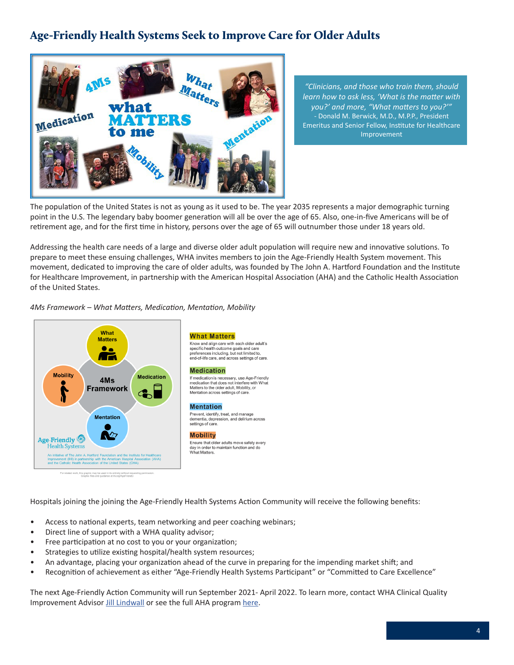### <span id="page-3-0"></span>Age-Friendly Health Systems Seek to Improve Care for Older Adults



*"Clinicians, and those who train them, should learn how to ask less, 'What is the matter with you?' and more, "What matters to you?'"*  - Donald M. Berwick, M.D., M.P.P., President Emeritus and Senior Fellow, Institute for Healthcare Improvement

The population of the United States is not as young as it used to be. The year 2035 represents a major demographic turning point in the U.S. The legendary baby boomer generation will all be over the age of 65. Also, one-in-five Americans will be of retirement age, and for the first time in history, persons over the age of 65 will outnumber those under 18 years old.

Addressing the health care needs of a large and diverse older adult population will require new and innovative solutions. To prepare to meet these ensuing challenges, WHA invites members to join the Age-Friendly Health System movement. This movement, dedicated to improving the care of older adults, was founded by The John A. Hartford Foundation and the Institute for Healthcare Improvement, in partnership with the American Hospital Association (AHA) and the Catholic Health Association of the United States.

#### *4Ms Framework – What Matters, Medication, Mentation, Mobility*



**What Matters** Know and align care with each older adult's<br>specific health outcome goals and care preferences including, but not limited to end-of-life care, and across settings of care.

#### **Medication**

If medication is necessary, use Age-Friendly<br>medication that does not interfere with What<br>Matters to the older adult, Mobility, or<br>Matters to the older adult, Mobility, or Mentation across settings of care.

#### **Mentation**

Prevent, identify, treat, and manage<br>dementia, depression, and delirium across settings of care.

#### Mobility

Ensure that older adults move safely every<br>day in order to maintain function and do<br>What Matters.

Hospitals joining the joining the Age-Friendly Health Systems Action Community will receive the following benefits:

- Access to national experts, team networking and peer coaching webinars;
- Direct line of support with a WHA quality advisor;
- Free participation at no cost to you or your organization;
- Strategies to utilize existing hospital/health system resources;
- An advantage, placing your organization ahead of the curve in preparing for the impending market shift; and
- Recognition of achievement as either "Age-Friendly Health Systems Participant" or "Committed to Care Excellence"

The next Age-Friendly Action Community will run September 2021- April 2022. To learn more, contact WHA Clinical Quality Improvement Advisor [Jill Lindwall](mailto:jlindwall%40wha.org?subject=) or see the full AHA program [here.](https://www.aha.org/system/files/media/file/2021/06/Age-Friendly-Action-Community-Invitation.pdf)